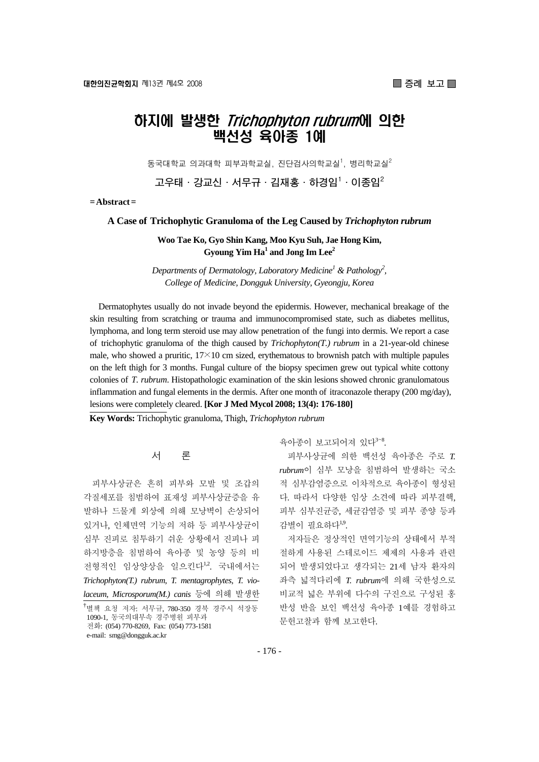# 하지에 발생한 Trichophyton rubrum에 의한 백선성 육아종 1예

동국대학교 의과대학 피부과학교실, 진단검사의학교실<sup>1</sup>, 병리학교실 $^2$ 

**고우태·강교신·서무규·김재홍·하경임1 ·이종임2**

**= Abstract =** 

#### **A Case of Trichophytic Granuloma of the Leg Caused by** *Trichophyton rubrum*

**Woo Tae Ko, Gyo Shin Kang, Moo Kyu Suh, Jae Hong Kim,**   $\bf{G}$ young  $\bf{Yim}$   $\bf{Ha}^1$  and  $\bf{Jong}$   $\bf{Im}$   $\bf{Lee}^2$ 

*Departments of Dermatology, Laboratory Medicine<sup>1</sup> & Pathology<sup>2</sup>, College of Medicine, Dongguk University, Gyeongju, Korea* 

Dermatophytes usually do not invade beyond the epidermis. However, mechanical breakage of the skin resulting from scratching or trauma and immunocompromised state, such as diabetes mellitus, lymphoma, and long term steroid use may allow penetration of the fungi into dermis. We report a case of trichophytic granuloma of the thigh caused by *Trichophyton(T.) rubrum* in a 21-year-old chinese male, who showed a pruritic,  $17\times10$  cm sized, erythematous to brownish patch with multiple papules on the left thigh for 3 months. Fungal culture of the biopsy specimen grew out typical white cottony colonies of *T. rubrum*. Histopathologic examination of the skin lesions showed chronic granulomatous inflammation and fungal elements in the dermis. After one month of itraconazole therapy (200 mg/day), lesions were completely cleared. **[Kor J Med Mycol 2008; 13(4): 176-180]**

**Key Words:** Trichophytic granuloma, Thigh, *Trichophyton rubrum*

### 서 론

피부사상균은 흔히 피부와 모발 및 조갑의 각질세포를 침범하여 표재성 피부사상균증을 유 발하나 드물게 외상에 의해 모낭벽이 손상되어 있거나, 인체면역 기능의 저하 등 피부사상균이 심부 진피로 침투하기 쉬운 상황에서 진피나 피 하지방층을 침범하여 육아종 및 농양 등의 비 전형적인 임상양상을 일으킨다1,2. 국내에서는 *Trichophyton(T.) rubrum*, *T. mentagrophytes*, *T. violaceum*, *Microsporum(M.) canis* 등에 의해 발생한

육아종이 보고되어져 있다<sup>3~8</sup>.

피부사상균에 의한 백선성 육아종은 주로 *T. rubrum*이 심부 모낭을 침범하여 발생하는 국소 적 심부감염증으로 이차적으로 육아종이 형성된 다. 따라서 다양한 임상 소견에 따라 피부결핵, 피부 심부진균증, 세균감염증 및 피부 종양 등과 감별이 필요하다1,9.

저자들은 정상적인 면역기능의 상태에서 부적 절하게 사용된 스테로이드 제제의 사용과 관련 되어 발생되었다고 생각되는 21세 남자 환자의 좌측 넓적다리에 *T. rubrum*에 의해 국한성으로 비교적 넓은 부위에 다수의 구진으로 구성된 홍 반성 반을 보인 백선성 육아종 1예를 경험하고 문헌고찰과 함께 보고한다.

<sup>&</sup>lt;sup>†</sup>별책 요청 저자: 서무규, 780-350 경북 경주시 석장동 1090-1, 동국의대부속 경주병원 피부과 전화: (054) 770-8269, Fax: (054) 773-1581 e-mail: smg@dongguk.ac.kr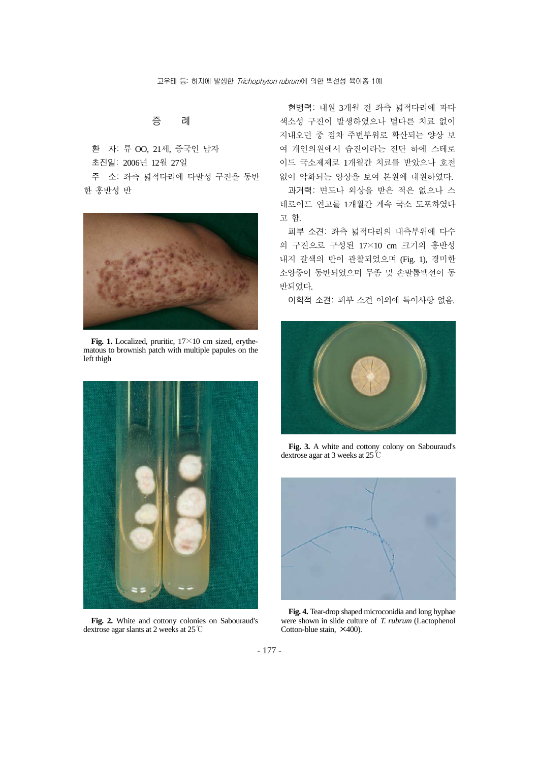증 례

환 자: 류 OO, 21세, 중국인 남자 초진일: 2006년 12월 27일

주 소: 좌측 넓적다리에 다발성 구진을 동반 한 홍반성 반



Fig. 1. Localized, pruritic,  $17 \times 10$  cm sized, erythematous to brownish patch with multiple papules on the left thigh



**Fig. 2.** White and cottony colonies on Sabouraud's dextrose agar slants at 2 weeks at 25℃

현병력: 내원 3개월 전 좌측 넓적다리에 과다 색소성 구진이 발생하였으나 별다른 치료 없이 지내오던 중 점차 주변부위로 확산되는 양상 보 여 개인의원에서 습진이라는 진단 하에 스테로 이드 국소제제로 1개월간 치료를 받았으나 호전 없이 악화되는 양상을 보여 본원에 내원하였다.

과거력: 면도나 외상을 받은 적은 없으나 스 테로이드 연고를 1개월간 계속 국소 도포하였다 고 함.

피부 소견: 좌측 넓적다리의 내측부위에 다수 의 구진으로 구성된 17×10 cm 크기의 홍반성 내지 갈색의 반이 관찰되었으며 (Fig. 1), 경미한 소양증이 동반되었으며 무좀 및 손발톱백선이 동 반되었다.

이학적 소견: 피부 소견 이외에 특이사항 없음.



**Fig. 3.** A white and cottony colony on Sabouraud's dextrose agar at 3 weeks at 25℃



**Fig. 4.** Tear-drop shaped microconidia and long hyphae were shown in slide culture of *T. rubrum* (Lactophenol Cotton-blue stain,  $\times$ 400).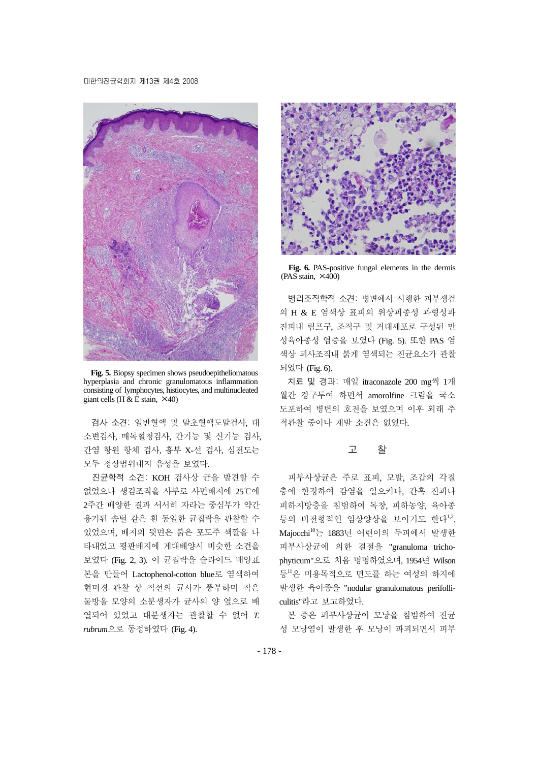#### 대한의진균학회지 제13권 제4호 2008



**Fig. 5.** Biopsy specimen shows pseudoepitheliomatous hyperplasia and chronic granulomatous inflammation consisting of lymphocytes, histiocytes, and multinucleated giant cells (H  $\&$  E stain,  $\times$ 40)

검사 소견: 일반혈액 및 말초혈액도말검사, 대 소변검사, 매독혈청검사, 간기능 및 신기능 검사, 간염 항원 항체 검사, 흉부 X-선 검사, 심전도는 모두 정상범위내지 음성을 보였다.

진균학적 소견: KOH 검사상 균을 발견할 수 없었으나 생검조직을 사부로 사면배지에 25℃에 2주간 배양한 결과 서서히 자라는 중심부가 약간 융기된 솜털 같은 흰 동일한 균집락을 관찰할 수 있었으며, 배지의 뒷면은 붉은 포도주 색깔을 나 타내었고 평판배지에 계대배양시 비슷한 소견을 보였다 (Fig. 2, 3). 이 균집락을 슬라이드 배양표 본을 만들어 Lactophenol-cotton blue로 염색하여 현미경 관찰 상 직선의 균사가 풍부하며 작은 물방울 모양의 소분생자가 균사의 양 옆으로 배 열되어 있었고 대분생자는 관찰할 수 없어 *T. rubrum*으로 동정하였다 (Fig. 4).



**Fig. 6.** PAS-positive fungal elements in the dermis  $(PAS \sin \theta, \times 400)$ 

병리조직학적 소견: 병변에서 시행한 피부생검 의 H & E 염색상 표피의 위상피종성 과형성과 진피내 림프구, 조직구 및 거대세포로 구성된 만 성육아종성 염증을 보였다 (Fig. 5). 또한 PAS 염 색상 괴사조직내 붉게 염색되는 진균요소가 관찰 되었다 (Fig. 6).

치료 및 경과: 매일 itraconazole 200 mg씩 1개 월간 경구투여 하면서 amorolfine 크림을 국소 도포하여 병변의 호전을 보였으며 이후 외래 추 적관찰 중이나 재발 소견은 없었다.

## 고 찰

피부사상균은 주로 표피, 모발, 조갑의 각질 층에 한정하여 감염을 일으키나, 간혹 진피나 피하지방층을 침범하여 독창, 피하농양, 육아종 등의 비전형적인 임상양상을 보이기도 한다"2. Majocchi<sup>10</sup>는 1883년 어린이의 두피에서 발생한 피부사상균에 의한 결절을 "granuloma trichophyticum"으로 처음 명명하였으며, 1954년 Wilson 등<sup>11</sup>은 미용목적으로 면도를 하는 여성의 하지에 발생한 육아종을 "nodular granulomatous perifolliculitis"라고 보고하였다.

본 증은 피부사상균이 모낭을 침범하여 진균 성 모낭염이 발생한 후 모낭이 파괴되면서 피부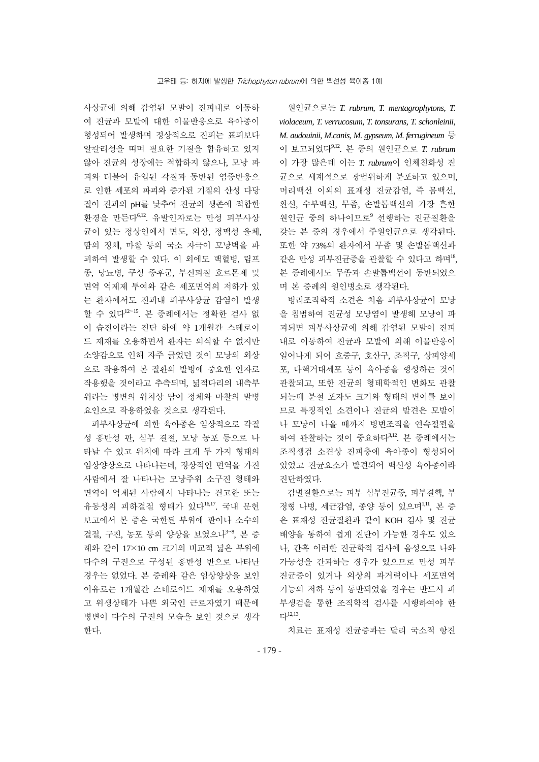사상균에 의해 감염된 모발이 진피내로 이동하 여 진균과 모발에 대한 이물반응으로 육아종이 형성되어 발생하며 정상적으로 진피는 표피보다 알칼리성을 띠며 필요한 기질을 함유하고 있지 않아 진균의 성장에는 적합하지 않으나, 모낭 파 괴와 더불어 유입된 각질과 동반된 염증반응으 로 인한 세포의 파괴와 증가된 기질의 산성 다당 질이 진피의 pH를 낮추어 진균의 생존에 적합한 환경을 만든다6,12. 유발인자로는 만성 피부사상 균이 있는 정상인에서 면도, 외상, 정맥성 울체, 땀의 정체, 마찰 등의 국소 자극이 모낭벽을 파 괴하여 발생할 수 있다. 이 외에도 백혈병, 림프 종, 당뇨병, 쿠싱 증후군, 부신피질 호르몬제 및 면역 억제제 투여와 같은 세포면역의 저하가 있 는 환자에서도 진피내 피부사상균 감염이 발생 할 수 있다<sup>12</sup><sup>~</sup>15. 본 증례에서는 정확한 검사 없 이 습진이라는 진단 하에 약 1개월간 스테로이 드 제재를 오용하면서 환자는 의식할 수 없지만 소양감으로 인해 자주 긁었던 것이 모낭의 외상 으로 작용하여 본 질환의 발병에 중요한 인자로 작용했을 것이라고 추측되며, 넓적다리의 내측부 위라는 병변의 위치상 땀이 정체와 마찰의 발병 요인으로 작용하였을 것으로 생각된다.

피부사상균에 의한 육아종은 임상적으로 각질 성 홍반성 판, 심부 결절, 모낭 농포 등으로 나 타날 수 있고 위치에 따라 크게 두 가지 형태의 임상양상으로 나타나는데, 정상적인 면역을 가진 사람에서 잘 나타나는 모낭주위 소구진 형태와 면역이 억제된 사람에서 나타나는 견고한 또는 유동성의 피하결절 형태가 있다16,17. 국내 문헌 보고에서 본 증은 국한된 부위에 판이나 소수의 결절, 구진, 농포 등의 양상을 보였으나<sup>3~8</sup>, 본 증 례와 같이 17×10 cm 크기의 비교적 넓은 부위에 다수의 구진으로 구성된 홍반성 반으로 나타난 경우는 없었다. 본 증례와 같은 임상양상을 보인 이유로는 1개월간 스테로이드 제재를 오용하였 고 위생상태가 나쁜 외국인 근로자였기 때문에 병변이 다수의 구진의 모습을 보인 것으로 생각 한다.

원인균으로는 *T. rubrum*, *T. mentagrophytons*, *T. violaceum*, *T. verrucosum*, *T. tonsurans*, *T. schonleinii*, *M. audouinii*, *M.canis*, *M. gypseum*, *M. ferrugineum* 등 이 보고되었다9,12. 본 증의 원인균으로 *T. rubrum* 이 가장 많은데 이는 *T. rubrum*이 인체친화성 진 균으로 세계적으로 광범위하게 분포하고 있으며, 머리백선 이외의 표재성 진균감염, 즉 몸백선, 완선, 수부백선, 무좀, 손발톱백선의 가장 흔한 원인균 중의 하나이므로<sup>9</sup> 선행하는 진균질환을 갖는 본 증의 경우에서 주원인균으로 생각된다. 또한 약 73%의 환자에서 무좀 및 손발톱백선과 같은 만성 피부진균증을 관찰할 수 있다고 하며18, 본 증례에서도 무좀과 손발톱백선이 동반되었으 며 본 증례의 원인병소로 생각된다.

병리조직학적 소견은 처음 피부사상균이 모낭 을 침범하여 진균성 모낭염이 발생해 모낭이 파 괴되면 피부사상균에 의해 감염된 모발이 진피 내로 이동하여 진균과 모발에 의해 이물반응이 일어나게 되어 호중구, 호산구, 조직구, 상피양세 포, 다핵거대세포 등이 육아종을 형성하는 것이 관찰되고, 또한 진균의 형태학적인 변화도 관찰 되는데 분절 포자도 크기와 형태의 변이를 보이 므로 특징적인 소견이나 진균의 발견은 모발이 나 모낭이 나올 때까지 병변조직을 연속절편을 하여 관찰하는 것이 중요하다3,12. 본 증례에서는 조직생검 소견상 진피층에 육아종이 형성되어 있었고 진균요소가 발견되어 백선성 육아종이라 진단하였다.

감별질환으로는 피부 심부진균증, 피부결핵, 부 정형 나병, 세균감염, 종양 등이 있으며1,11, 본 증 은 표재성 진균질환과 같이 KOH 검사 및 진균 배양을 통하여 쉽게 진단이 가능한 경우도 있으 나, 간혹 이러한 진균학적 검사에 음성으로 나와 가능성을 간과하는 경우가 있으므로 만성 피부 진균증이 있거나 외상의 과거력이나 세포면역 기능의 저하 등이 동반되었을 경우는 반드시 피 부생검을 통한 조직학적 검사를 시행하여야 한 다12,13.

치료는 표재성 진균증과는 달리 국소적 항진